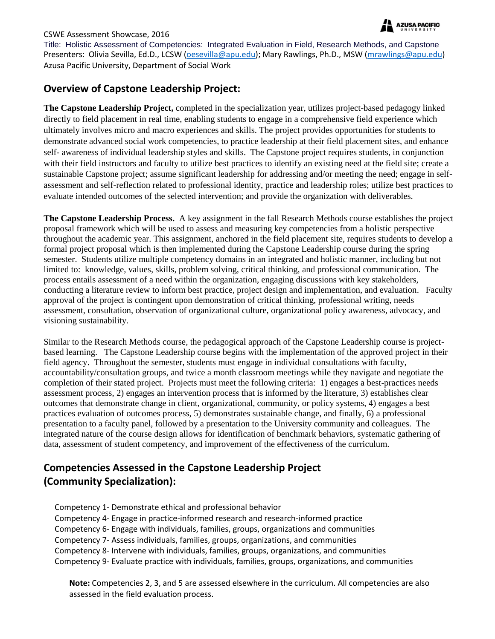

#### CSWE Assessment Showcase, 2016

Title: Holistic Assessment of Competencies: Integrated Evaluation in Field, Research Methods, and Capstone Presenters: Olivia Sevilla, Ed.D., LCSW [\(oesevilla@apu.edu\)](mailto:oesevilla@apu.edu); Mary Rawlings, Ph.D., MSW [\(mrawlings@apu.edu\)](mailto:mrawlings@apu.edu) Azusa Pacific University, Department of Social Work

## **Overview of Capstone Leadership Project:**

**The Capstone Leadership Project,** completed in the specialization year, utilizes project-based pedagogy linked directly to field placement in real time, enabling students to engage in a comprehensive field experience which ultimately involves micro and macro experiences and skills. The project provides opportunities for students to demonstrate advanced social work competencies, to practice leadership at their field placement sites, and enhance self- awareness of individual leadership styles and skills. The Capstone project requires students, in conjunction with their field instructors and faculty to utilize best practices to identify an existing need at the field site; create a sustainable Capstone project; assume significant leadership for addressing and/or meeting the need; engage in selfassessment and self-reflection related to professional identity, practice and leadership roles; utilize best practices to evaluate intended outcomes of the selected intervention; and provide the organization with deliverables.

**The Capstone Leadership Process.** A key assignment in the fall Research Methods course establishes the project proposal framework which will be used to assess and measuring key competencies from a holistic perspective throughout the academic year. This assignment, anchored in the field placement site, requires students to develop a formal project proposal which is then implemented during the Capstone Leadership course during the spring semester. Students utilize multiple competency domains in an integrated and holistic manner, including but not limited to: knowledge, values, skills, problem solving, critical thinking, and professional communication. The process entails assessment of a need within the organization, engaging discussions with key stakeholders, conducting a literature review to inform best practice, project design and implementation, and evaluation. Faculty approval of the project is contingent upon demonstration of critical thinking, professional writing, needs assessment, consultation, observation of organizational culture, organizational policy awareness, advocacy, and visioning sustainability.

Similar to the Research Methods course, the pedagogical approach of the Capstone Leadership course is projectbased learning. The Capstone Leadership course begins with the implementation of the approved project in their field agency. Throughout the semester, students must engage in individual consultations with faculty, accountability/consultation groups, and twice a month classroom meetings while they navigate and negotiate the completion of their stated project. Projects must meet the following criteria: 1) engages a best-practices needs assessment process, 2) engages an intervention process that is informed by the literature, 3) establishes clear outcomes that demonstrate change in client, organizational, community, or policy systems, 4) engages a best practices evaluation of outcomes process, 5) demonstrates sustainable change, and finally, 6) a professional presentation to a faculty panel, followed by a presentation to the University community and colleagues. The integrated nature of the course design allows for identification of benchmark behaviors, systematic gathering of data, assessment of student competency, and improvement of the effectiveness of the curriculum.

# **Competencies Assessed in the Capstone Leadership Project (Community Specialization):**

Competency 1- Demonstrate ethical and professional behavior Competency 4- Engage in practice-informed research and research-informed practice Competency 6- Engage with individuals, families, groups, organizations and communities Competency 7- Assess individuals, families, groups, organizations, and communities Competency 8- Intervene with individuals, families, groups, organizations, and communities Competency 9- Evaluate practice with individuals, families, groups, organizations, and communities

**Note:** Competencies 2, 3, and 5 are assessed elsewhere in the curriculum. All competencies are also assessed in the field evaluation process.